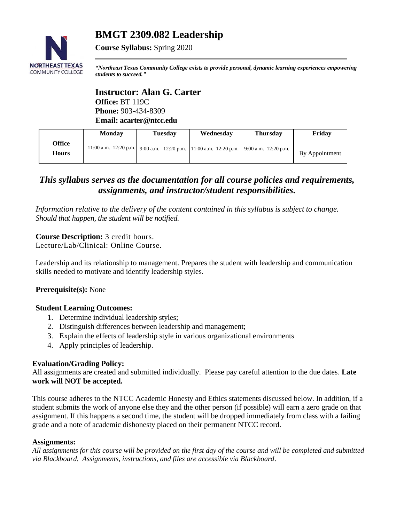# **BMGT 2309.082 Leadership**



**Course Syllabus:** Spring 2020

*"Northeast Texas Community College exists to provide personal, dynamic learning experiences empowering students to succeed."*

## **Instructor: Alan G. Carter Office:** BT 119C **Phone:** 903-434-8309 **Email: acarter@ntcc.edu**

|                        | <b>Monday</b> | <b>Tuesday</b>                                                                            | Wednesday | <b>Thursday</b> | Friday         |
|------------------------|---------------|-------------------------------------------------------------------------------------------|-----------|-----------------|----------------|
| Office<br><b>Hours</b> |               | 11:00 a.m. -12:20 p.m. 9:00 a.m. -12:20 p.m. 11:00 a.m. -12:20 p.m. 9:00 a.m. -12:20 p.m. |           |                 | By Appointment |
|                        |               |                                                                                           |           |                 |                |

## *This syllabus serves as the documentation for all course policies and requirements, assignments, and instructor/student responsibilities.*

*Information relative to the delivery of the content contained in this syllabus is subject to change. Should that happen, the student will be notified.*

## **Course Description:** 3 credit hours.

Lecture/Lab/Clinical: Online Course.

Leadership and its relationship to management. Prepares the student with leadership and communication skills needed to motivate and identify leadership styles.

## **Prerequisite(s):** None

## **Student Learning Outcomes:**

- 1. Determine individual leadership styles;
- 2. Distinguish differences between leadership and management;
- 3. Explain the effects of leadership style in various organizational environments
- 4. Apply principles of leadership.

## **Evaluation/Grading Policy:**

All assignments are created and submitted individually. Please pay careful attention to the due dates. **Late work will NOT be accepted.** 

This course adheres to the NTCC Academic Honesty and Ethics statements discussed below. In addition, if a student submits the work of anyone else they and the other person (if possible) will earn a zero grade on that assignment. If this happens a second time, the student will be dropped immediately from class with a failing grade and a note of academic dishonesty placed on their permanent NTCC record.

## **Assignments:**

*All assignments for this course will be provided on the first day of the course and will be completed and submitted via Blackboard. Assignments, instructions, and files are accessible via Blackboard*.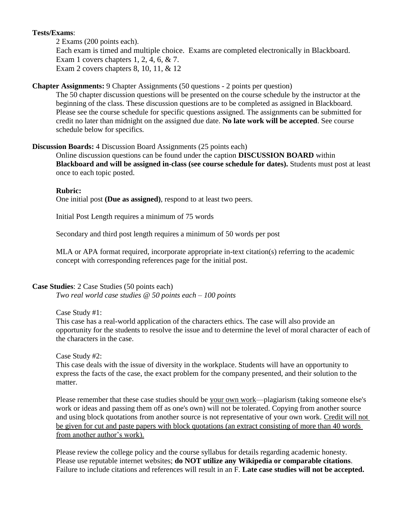## **Tests/Exams**:

2 Exams (200 points each). Each exam is timed and multiple choice. Exams are completed electronically in Blackboard. Exam 1 covers chapters 1, 2, 4, 6, & 7. Exam 2 covers chapters 8, 10, 11, & 12

## **Chapter Assignments:** 9 Chapter Assignments (50 questions - 2 points per question)

The 50 chapter discussion questions will be presented on the course schedule by the instructor at the beginning of the class. These discussion questions are to be completed as assigned in Blackboard. Please see the course schedule for specific questions assigned. The assignments can be submitted for credit no later than midnight on the assigned due date. **No late work will be accepted**. See course schedule below for specifics.

## **Discussion Boards:** 4 Discussion Board Assignments (25 points each)

Online discussion questions can be found under the caption **DISCUSSION BOARD** within **Blackboard and will be assigned in-class (see course schedule for dates).** Students must post at least once to each topic posted.

## **Rubric:**

One initial post **(Due as assigned)**, respond to at least two peers.

Initial Post Length requires a minimum of 75 words

Secondary and third post length requires a minimum of 50 words per post

MLA or APA format required, incorporate appropriate in-text citation(s) referring to the academic concept with corresponding references page for the initial post.

## **Case Studies**: 2 Case Studies (50 points each)

*Two real world case studies @ 50 points each – 100 points* 

## Case Study #1:

This case has a real-world application of the characters ethics. The case will also provide an opportunity for the students to resolve the issue and to determine the level of moral character of each of the characters in the case.

## Case Study #2:

This case deals with the issue of diversity in the workplace. Students will have an opportunity to express the facts of the case, the exact problem for the company presented, and their solution to the matter.

Please remember that these case studies should be your own work—plagiarism (taking someone else's work or ideas and passing them off as one's own) will not be tolerated. Copying from another source and using block quotations from another source is not representative of your own work. Credit will not be given for cut and paste papers with block quotations (an extract consisting of more than 40 words from another author's work).

Please review the college policy and the course syllabus for details regarding academic honesty. Please use reputable internet websites; **do NOT utilize any Wikipedia or comparable citations**. Failure to include citations and references will result in an F. **Late case studies will not be accepted.**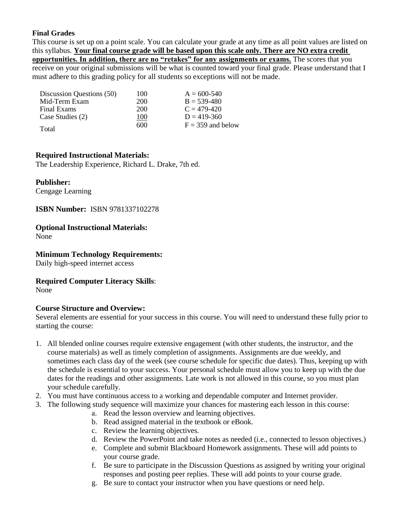## **Final Grades**

This course is set up on a point scale. You can calculate your grade at any time as all point values are listed on this syllabus. **Your final course grade will be based upon this scale only. There are NO extra credit opportunities. In addition, there are no "retakes" for any assignments or exams.** The scores that you receive on your original submissions will be what is counted toward your final grade. Please understand that I must adhere to this grading policy for all students so exceptions will not be made.

| Discussion Questions (50) | 100 | $A = 600 - 540$     |
|---------------------------|-----|---------------------|
| Mid-Term Exam             | 200 | $B = 539-480$       |
| Final Exams               | 200 | $C = 479-420$       |
| Case Studies (2)          | 100 | $D = 419 - 360$     |
| Total                     | 600 | $F = 359$ and below |

## **Required Instructional Materials:**

The Leadership Experience, Richard L. Drake, 7th ed.

## **Publisher:**

Cengage Learning

## **ISBN Number:** ISBN 9781337102278

## **Optional Instructional Materials:**

None

## **Minimum Technology Requirements:**

Daily high-speed internet access

## **Required Computer Literacy Skills**:

None

## **Course Structure and Overview:**

Several elements are essential for your success in this course. You will need to understand these fully prior to starting the course:

- 1. All blended online courses require extensive engagement (with other students, the instructor, and the course materials) as well as timely completion of assignments. Assignments are due weekly, and sometimes each class day of the week (see course schedule for specific due dates). Thus, keeping up with the schedule is essential to your success. Your personal schedule must allow you to keep up with the due dates for the readings and other assignments. Late work is not allowed in this course, so you must plan your schedule carefully.
- 2. You must have continuous access to a working and dependable computer and Internet provider.
- 3. The following study sequence will maximize your chances for mastering each lesson in this course:
	- a. Read the lesson overview and learning objectives.
	- b. Read assigned material in the textbook or eBook.
	- c. Review the learning objectives.
	- d. Review the PowerPoint and take notes as needed (i.e., connected to lesson objectives.)
	- e. Complete and submit Blackboard Homework assignments. These will add points to your course grade.
	- f. Be sure to participate in the Discussion Questions as assigned by writing your original responses and posting peer replies. These will add points to your course grade.
	- g. Be sure to contact your instructor when you have questions or need help.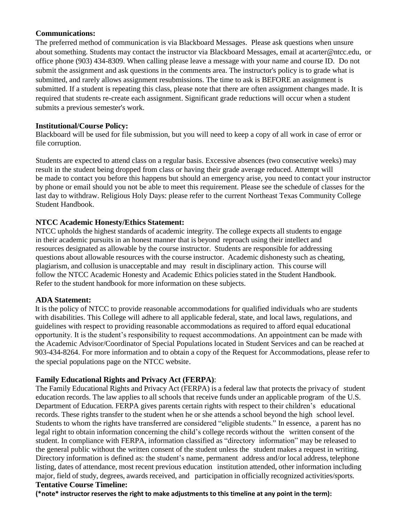## **Communications:**

The preferred method of communication is via Blackboard Messages. Please ask questions when unsure about something. Students may contact the instructor via Blackboard Messages, email at acarter@ntcc.edu, or office phone (903) 434-8309. When calling please leave a message with your name and course ID. Do not submit the assignment and ask questions in the comments area. The instructor's policy is to grade what is submitted, and rarely allows assignment resubmissions. The time to ask is BEFORE an assignment is submitted. If a student is repeating this class, please note that there are often assignment changes made. It is required that students re-create each assignment. Significant grade reductions will occur when a student submits a previous semester's work.

## **Institutional/Course Policy:**

Blackboard will be used for file submission, but you will need to keep a copy of all work in case of error or file corruption.

Students are expected to attend class on a regular basis. Excessive absences (two consecutive weeks) may result in the student being dropped from class or having their grade average reduced. Attempt will be made to contact you before this happens but should an emergency arise, you need to contact your instructor by phone or email should you not be able to meet this requirement. Please see the schedule of classes for the last day to withdraw. Religious Holy Days: please refer to the current Northeast Texas Community College Student Handbook.

## **NTCC Academic Honesty/Ethics Statement:**

NTCC upholds the highest standards of academic integrity. The college expects all students to engage in their academic pursuits in an honest manner that is beyond reproach using their intellect and resources designated as allowable by the course instructor. Students are responsible for addressing questions about allowable resources with the course instructor. Academic dishonesty such as cheating, plagiarism, and collusion is unacceptable and may result in disciplinary action. This course will follow the NTCC Academic Honesty and Academic Ethics policies stated in the Student Handbook. Refer to the student handbook for more information on these subjects.

## **ADA Statement:**

It is the policy of NTCC to provide reasonable accommodations for qualified individuals who are students with disabilities. This College will adhere to all applicable federal, state, and local laws, regulations, and guidelines with respect to providing reasonable accommodations as required to afford equal educational opportunity. It is the student's responsibility to request accommodations. An appointment can be made with the Academic Advisor/Coordinator of Special Populations located in Student Services and can be reached at 903-434-8264. For more information and to obtain a copy of the Request for Accommodations, please refer to the special populations page on the NTCC website[.](http://www.ntcc.edu/index.php?module=Pagesetter&func=viewpub&tid=111&pid=1) 

## **Family Educational Rights and Privacy Act (FERPA)**:

The Family Educational Rights and Privacy Act (FERPA) is a federal law that protects the privacy of student education records. The law applies to all schools that receive funds under an applicable program of the U.S. Department of Education. FERPA gives parents certain rights with respect to their children's educational records. These rights transfer to the student when he or she attends a school beyond the high school level. Students to whom the rights have transferred are considered "eligible students." In essence, a parent has no legal right to obtain information concerning the child's college records without the written consent of the student. In compliance with FERPA, information classified as "directory information" may be released to the general public without the written consent of the student unless the student makes a request in writing. Directory information is defined as: the student's name, permanent address and/or local address, telephone listing, dates of attendance, most recent previous education institution attended, other information including major, field of study, degrees, awards received, and participation in officially recognized activities/sports. **Tentative Course Timeline:**

**(\*note\* instructor reserves the right to make adjustments to this timeline at any point in the term):**